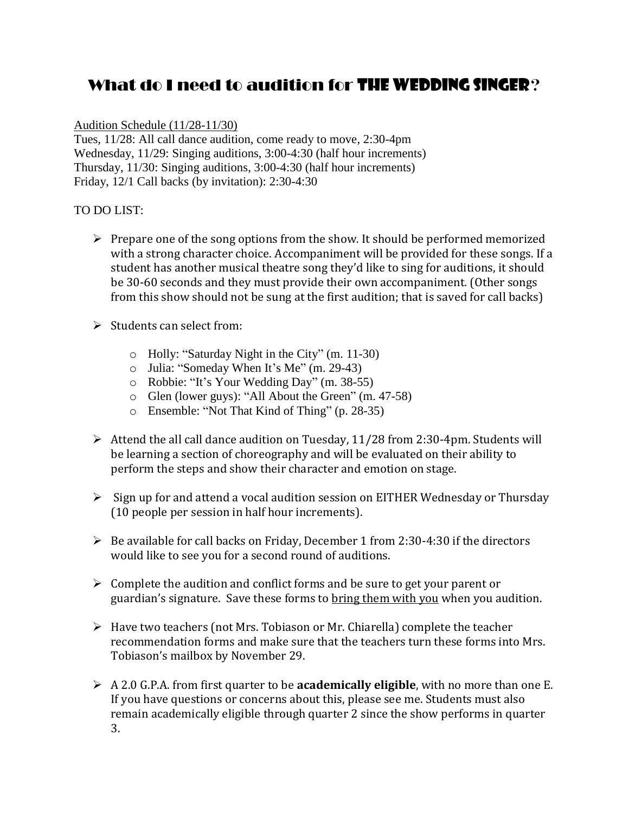## What do I need to audition for **THE WEDDING SINGER**?

## Audition Schedule (11/28-11/30)

Tues, 11/28: All call dance audition, come ready to move, 2:30-4pm Wednesday, 11/29: Singing auditions, 3:00-4:30 (half hour increments) Thursday, 11/30: Singing auditions, 3:00-4:30 (half hour increments) Friday, 12/1 Call backs (by invitation): 2:30-4:30

## TO DO LIST:

- Prepare one of the song options from the show*.* It should be performed memorized with a strong character choice. Accompaniment will be provided for these songs. If a student has another musical theatre song they'd like to sing for auditions, it should be 30-60 seconds and they must provide their own accompaniment*.* (Other songs from this show should not be sung at the first audition; that is saved for call backs)
- $\triangleright$  Students can select from:
	- o Holly: "Saturday Night in the City" (m. 11-30)
	- o Julia: "Someday When It's Me" (m. 29-43)
	- o Robbie: "It's Your Wedding Day" (m. 38-55)
	- o Glen (lower guys): "All About the Green" (m. 47-58)
	- o Ensemble: "Not That Kind of Thing" (p. 28-35)
- Attend the all call dance audition on Tuesday, 11/28 from 2:30-4pm. Students will be learning a section of choreography and will be evaluated on their ability to perform the steps and show their character and emotion on stage.
- $\triangleright$  Sign up for and attend a vocal audition session on EITHER Wednesday or Thursday (10 people per session in half hour increments).
- $\triangleright$  Be available for call backs on Friday, December 1 from 2:30-4:30 if the directors would like to see you for a second round of auditions.
- $\triangleright$  Complete the audition and conflict forms and be sure to get your parent or guardian's signature. Save these forms to bring them with you when you audition.
- $\triangleright$  Have two teachers (not Mrs. Tobiason or Mr. Chiarella) complete the teacher recommendation forms and make sure that the teachers turn these forms into Mrs. Tobiason's mailbox by November 29.
- A 2.0 G.P.A. from first quarter to be **academically eligible**, with no more than one E. If you have questions or concerns about this, please see me. Students must also remain academically eligible through quarter 2 since the show performs in quarter 3.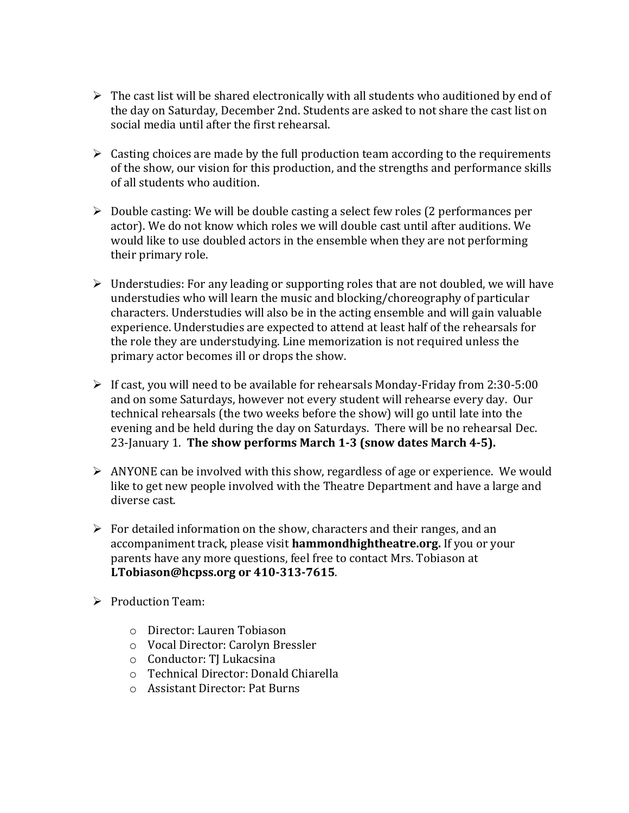- $\triangleright$  The cast list will be shared electronically with all students who auditioned by end of the day on Saturday, December 2nd. Students are asked to not share the cast list on social media until after the first rehearsal.
- $\triangleright$  Casting choices are made by the full production team according to the requirements of the show, our vision for this production, and the strengths and performance skills of all students who audition.
- $\triangleright$  Double casting: We will be double casting a select few roles (2 performances per actor). We do not know which roles we will double cast until after auditions. We would like to use doubled actors in the ensemble when they are not performing their primary role.
- $\triangleright$  Understudies: For any leading or supporting roles that are not doubled, we will have understudies who will learn the music and blocking/choreography of particular characters. Understudies will also be in the acting ensemble and will gain valuable experience. Understudies are expected to attend at least half of the rehearsals for the role they are understudying. Line memorization is not required unless the primary actor becomes ill or drops the show.
- $\triangleright$  If cast, you will need to be available for rehearsals Monday-Friday from 2:30-5:00 and on some Saturdays, however not every student will rehearse every day. Our technical rehearsals (the two weeks before the show) will go until late into the evening and be held during the day on Saturdays. There will be no rehearsal Dec. 23-January 1. **The show performs March 1-3 (snow dates March 4-5).**
- $\triangleright$  ANYONE can be involved with this show, regardless of age or experience. We would like to get new people involved with the Theatre Department and have a large and diverse cast.
- $\triangleright$  For detailed information on the show, characters and their ranges, and an accompaniment track, please visit **hammondhightheatre.org.** If you or your parents have any more questions, feel free to contact Mrs. Tobiason at **LTobiason@hcpss.org or 410-313-7615**.
- $\triangleright$  Production Team:
	- o Director: Lauren Tobiason
	- o Vocal Director: Carolyn Bressler
	- o Conductor: TJ Lukacsina
	- o Technical Director: Donald Chiarella
	- o Assistant Director: Pat Burns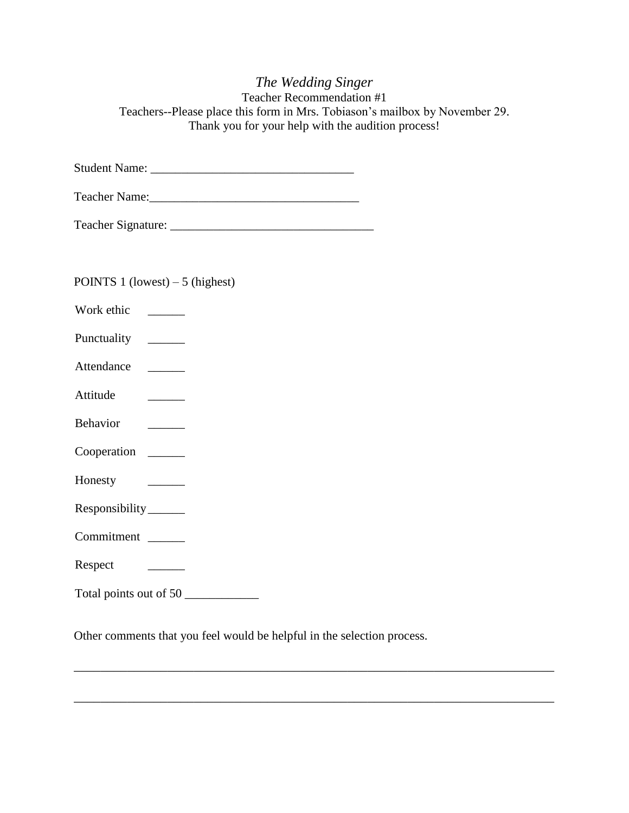|                                                                                                                                   | The Wedding Singer<br>Teacher Recommendation #1<br>Teachers--Please place this form in Mrs. Tobiason's mailbox by November 29.<br>Thank you for your help with the audition process!                                           |
|-----------------------------------------------------------------------------------------------------------------------------------|--------------------------------------------------------------------------------------------------------------------------------------------------------------------------------------------------------------------------------|
|                                                                                                                                   |                                                                                                                                                                                                                                |
|                                                                                                                                   | Teacher Name: 1988 and 1989 and 1989 and 1989 and 1989 and 1989 and 1989 and 1989 and 1989 and 1989 and 1989 and 1989 and 1989 and 1989 and 1989 and 1989 and 1989 and 1989 and 1989 and 1989 and 1989 and 1989 and 1989 and 1 |
|                                                                                                                                   |                                                                                                                                                                                                                                |
| POINTS 1 (lowest) $-5$ (highest)                                                                                                  |                                                                                                                                                                                                                                |
| Punctuality ________                                                                                                              |                                                                                                                                                                                                                                |
| Attendance                                                                                                                        |                                                                                                                                                                                                                                |
| Attitude<br><u> 1980 - Jan Barbara Barat III, marka barat a shekara 1980 - 1981 - 1981 - 1981 - 1981 - 1981 - 1981 - 1981 - 1</u> |                                                                                                                                                                                                                                |
|                                                                                                                                   |                                                                                                                                                                                                                                |
| Cooperation                                                                                                                       |                                                                                                                                                                                                                                |
| Honesty<br><u> 1999 - Jan Jawa</u>                                                                                                |                                                                                                                                                                                                                                |
| Responsibility_______                                                                                                             |                                                                                                                                                                                                                                |
| Commitment                                                                                                                        |                                                                                                                                                                                                                                |
| Respect<br><b>Contract Contract</b>                                                                                               |                                                                                                                                                                                                                                |
| Total points out of 50                                                                                                            |                                                                                                                                                                                                                                |

Other comments that you feel would be helpful in the selection process.

\_\_\_\_\_\_\_\_\_\_\_\_\_\_\_\_\_\_\_\_\_\_\_\_\_\_\_\_\_\_\_\_\_\_\_\_\_\_\_\_\_\_\_\_\_\_\_\_\_\_\_\_\_\_\_\_\_\_\_\_\_\_\_\_\_\_\_\_\_\_\_\_

\_\_\_\_\_\_\_\_\_\_\_\_\_\_\_\_\_\_\_\_\_\_\_\_\_\_\_\_\_\_\_\_\_\_\_\_\_\_\_\_\_\_\_\_\_\_\_\_\_\_\_\_\_\_\_\_\_\_\_\_\_\_\_\_\_\_\_\_\_\_\_\_